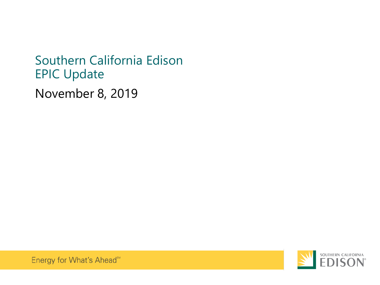November 8, 2019 Southern California Edison EPIC Update



Energy for What's Ahead<sup>™</sup>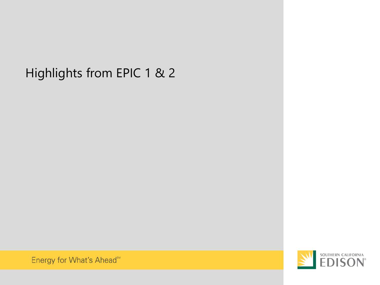# Highlights from EPIC 1 & 2



Energy for What's Ahead<sup>sM</sup>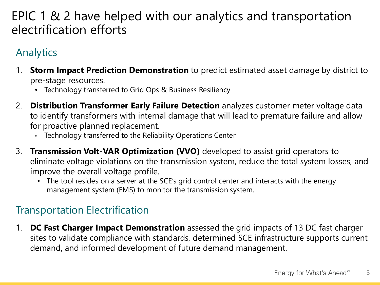# EPIC 1 & 2 have helped with our analytics and transportation electrification efforts

# Analytics

- 1. **Storm Impact Prediction Demonstration** to predict estimated asset damage by district to pre-stage resources.
	- Technology transferred to Grid Ops & Business Resiliency
- 2. **Distribution Transformer Early Failure Detection** analyzes customer meter voltage data to identify transformers with internal damage that will lead to premature failure and allow for proactive planned replacement.
	- Technology transferred to the Reliability Operations Center
- 3. **Transmission Volt-VAR Optimization (VVO)** developed to assist grid operators to eliminate voltage violations on the transmission system, reduce the total system losses, and improve the overall voltage profile.
	- The tool resides on a server at the SCE's grid control center and interacts with the energy management system (EMS) to monitor the transmission system.

# Transportation Electrification

1. **DC Fast Charger Impact Demonstration** assessed the grid impacts of 13 DC fast charger sites to validate compliance with standards, determined SCE infrastructure supports current demand, and informed development of future demand management.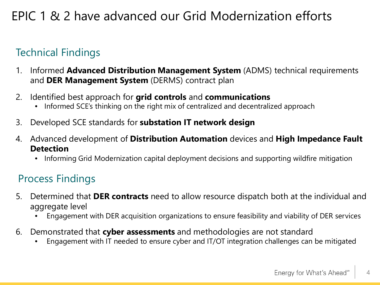# EPIC 1 & 2 have advanced our Grid Modernization efforts

# Technical Findings

- 1. Informed **Advanced Distribution Management System** (ADMS) technical requirements and **DER Management System** (DERMS) contract plan
- 2. Identified best approach for **grid controls** and **communications**
	- Informed SCE's thinking on the right mix of centralized and decentralized approach
- 3. Developed SCE standards for **substation IT network design**
- 4. Advanced development of **Distribution Automation** devices and **High Impedance Fault Detection**
	- Informing Grid Modernization capital deployment decisions and supporting wildfire mitigation

# Process Findings

- 5. Determined that **DER contracts** need to allow resource dispatch both at the individual and aggregate level
	- Engagement with DER acquisition organizations to ensure feasibility and viability of DER services
- 6. Demonstrated that **cyber assessments** and methodologies are not standard
	- Engagement with IT needed to ensure cyber and IT/OT integration challenges can be mitigated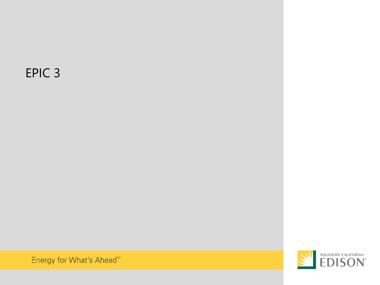# EPIC 3



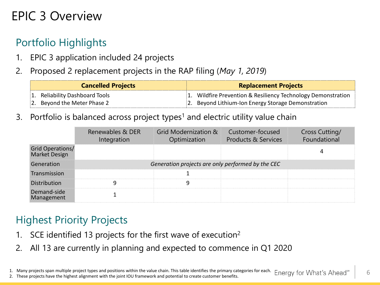# EPIC 3 Overview

# Portfolio Highlights

- 1. EPIC 3 application included 24 projects
- 2. Proposed 2 replacement projects in the RAP filing (*May 1, 2019*)

| <b>Cancelled Projects</b> |                                | <b>Replacement Projects</b> |                                                              |
|---------------------------|--------------------------------|-----------------------------|--------------------------------------------------------------|
|                           | 1. Reliability Dashboard Tools |                             | 1. Wildfire Prevention & Resiliency Technology Demonstration |
|                           | 2. Beyond the Meter Phase 2    |                             | 2. Beyond Lithium-Ion Energy Storage Demonstration           |

3. Portfolio is balanced across project types<sup>1</sup> and electric utility value chain

|                                   | Renewables & DER<br>Integration | Grid Modernization &<br>Optimization              | Customer-focused<br><b>Products &amp; Services</b> | <b>Cross Cutting/</b><br>Foundational |
|-----------------------------------|---------------------------------|---------------------------------------------------|----------------------------------------------------|---------------------------------------|
| Grid Operations/<br>Market Design |                                 |                                                   |                                                    |                                       |
| Generation                        |                                 | Generation projects are only performed by the CEC |                                                    |                                       |
| Transmission                      |                                 |                                                   |                                                    |                                       |
| Distribution                      |                                 |                                                   |                                                    |                                       |
| Demand-side<br>Management         |                                 |                                                   |                                                    |                                       |

# Highest Priority Projects

- 1. SCE identified 13 projects for the first wave of execution<sup>2</sup>
- 2. All 13 are currently in planning and expected to commence in Q1 2020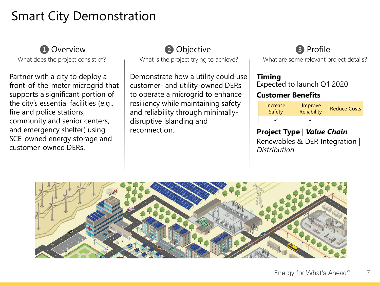# Smart City Demonstration

### **1** Overview

What does the project consist of?

Partner with a city to deploy a front-of-the-meter microgrid that supports a significant portion of the city's essential facilities (e.g., fire and police stations, community and senior centers, and emergency shelter) using SCE-owned energy storage and customer-owned DERs.

### ❷ Objective

What is the project trying to achieve?

Demonstrate how a utility could use customer- and utility-owned DERs to operate a microgrid to enhance resiliency while maintaining safety and reliability through minimallydisruptive islanding and reconnection.

# ❸ Profile

What are some relevant project details?

#### **Timing**

Expected to launch Q1 2020

#### **Customer Benefits**

| Increase<br>Safety | Improve<br><b>Reliability</b> | <b>Reduce Costs</b> |
|--------------------|-------------------------------|---------------------|
|                    |                               |                     |

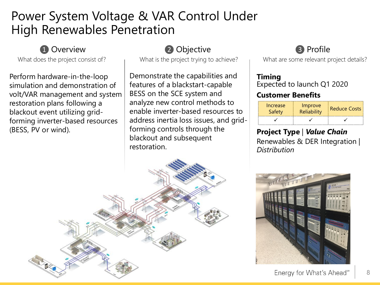# Power System Voltage & VAR Control Under High Renewables Penetration

### **1** Overview

What does the project consist of?

Perform hardware-in-the-loop simulation and demonstration of volt/VAR management and system restoration plans following a blackout event utilizing gridforming inverter-based resources (BESS, PV or wind).

# ❷ Objective

What is the project trying to achieve?

Demonstrate the capabilities and features of a blackstart-capable BESS on the SCE system and analyze new control methods to enable inverter-based resources to address inertia loss issues, and gridforming controls through the blackout and subsequent restoration.

# ❸ Profile

What are some relevant project details?

### **Timing**

Expected to launch Q1 2020

### **Customer Benefits**

| Increase<br>Safety | Improve<br>Reliability | <b>Reduce Costs</b> |
|--------------------|------------------------|---------------------|
|                    |                        |                     |

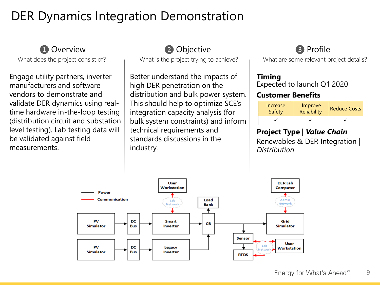# DER Dynamics Integration Demonstration

### **1** Overview

What does the project consist of?

Engage utility partners, inverter manufacturers and software vendors to demonstrate and validate DER dynamics using realtime hardware in-the-loop testing (distribution circuit and substation level testing). Lab testing data will be validated against field measurements.

### ❷ Objective

What is the project trying to achieve?

Better understand the impacts of high DER penetration on the distribution and bulk power system. This should help to optimize SCE's integration capacity analysis (for bulk system constraints) and inform technical requirements and standards discussions in the industry.

# ❸ Profile

What are some relevant project details?

#### **Timing**

Expected to launch Q1 2020

### **Customer Benefits**

| Increase | Improve<br>Reliability | <b>Reduce Costs</b> |
|----------|------------------------|---------------------|
|          |                        |                     |

# **Project Type** | *Value Chain*

Renewables & DER Integration | *Distribution*

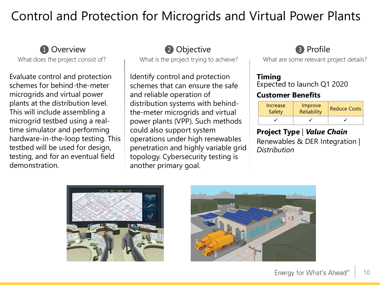# Control and Protection for Microgrids and Virtual Power Plants

### **1** Overview

What does the project consist of?

Evaluate control and protection schemes for behind-the-meter microgrids and virtual power plants at the distribution level. This will include assembling a microgrid testbed using a realtime simulator and performing hardware-in-the-loop testing. This testbed will be used for design, testing, and for an eventual field demonstration.

### ❷ Objective

What is the project trying to achieve?

Identify control and protection schemes that can ensure the safe and reliable operation of distribution systems with behindthe-meter microgrids and virtual power plants (VPP). Such methods could also support system operations under high renewables penetration and highly variable grid topology. Cybersecurity testing is another primary goal.

# ❸ Profile

What are some relevant project details?

#### **Timing**

Expected to launch Q1 2020

### **Customer Benefits**

| Increase<br>Safety | Improve<br>Reliability | <b>Reduce Costs</b> |
|--------------------|------------------------|---------------------|
|                    |                        |                     |



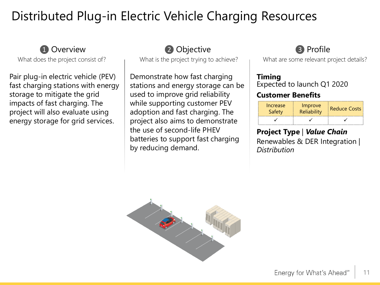# Distributed Plug-in Electric Vehicle Charging Resources

### **1** Overview

What does the project consist of?

Pair plug-in electric vehicle (PEV) fast charging stations with energy storage to mitigate the grid impacts of fast charging. The project will also evaluate using energy storage for grid services.

### ❷ Objective

What is the project trying to achieve?

Demonstrate how fast charging stations and energy storage can be used to improve grid reliability while supporting customer PEV adoption and fast charging. The project also aims to demonstrate the use of second-life PHEV batteries to support fast charging by reducing demand.

# ❸ Profile

What are some relevant project details?

#### **Timing**

Expected to launch Q1 2020

### **Customer Benefits**

| Increase<br>Safety | Improve<br>Reliability | <b>Reduce Costs</b> |
|--------------------|------------------------|---------------------|
|                    |                        |                     |

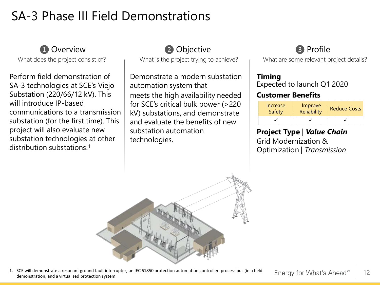# SA-3 Phase III Field Demonstrations

### **1** Overview

What does the project consist of?

Perform field demonstration of SA-3 technologies at SCE's Viejo Substation (220/66/12 kV). This will introduce IP-based communications to a transmission substation (for the first time). This project will also evaluate new substation technologies at other distribution substations.1

### ❷ Objective

What is the project trying to achieve?

Demonstrate a modern substation automation system that meets the high availability needed for SCE's critical bulk power (>220 kV) substations, and demonstrate and evaluate the benefits of new substation automation technologies.

# ❸ Profile

What are some relevant project details?

#### **Timing**

Expected to launch Q1 2020

### **Customer Benefits**

| Increase<br>Safety | Improve<br><b>Reliability</b> | Reduce Costs |
|--------------------|-------------------------------|--------------|
|                    |                               |              |

### **Project Type** *| Value Chain*

Grid Modernization & Optimization | *Transmission*



1. SCE will demonstrate a resonant ground fault interrupter, an IEC 61850 protection automation controller, process bus (in a field demonstration, and a virtualized protection system.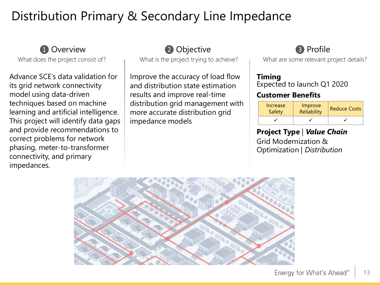# Distribution Primary & Secondary Line Impedance

### **1** Overview

What does the project consist of?

Advance SCE's data validation for its grid network connectivity model using data-driven techniques based on machine learning and artificial intelligence. This project will identify data gaps and provide recommendations to correct problems for network phasing, meter-to-transformer connectivity, and primary impedances.

### ❷ Objective

What is the project trying to achieve?

Improve the accuracy of load flow and distribution state estimation results and improve real-time distribution grid management with more accurate distribution grid impedance models

## ❸ Profile

What are some relevant project details?

#### **Timing**

Expected to launch Q1 2020

#### **Customer Benefits**

| Increase<br>Safety | Improve<br><b>Reliability</b> | <b>Reduce Costs</b> |
|--------------------|-------------------------------|---------------------|
|                    |                               |                     |

#### **Project Type** | *Value Chain* Grid Modernization & Optimization | *Distribution*

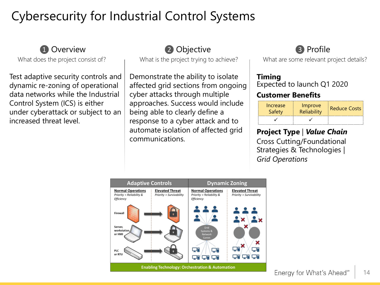# Cybersecurity for Industrial Control Systems

### **1** Overview

What does the project consist of?

Test adaptive security controls and dynamic re-zoning of operational data networks while the Industrial Control System (ICS) is either under cyberattack or subject to an increased threat level.

### ❷ Objective

What is the project trying to achieve?

Demonstrate the ability to isolate affected grid sections from ongoing cyber attacks through multiple approaches. Success would include being able to clearly define a response to a cyber attack and to automate isolation of affected grid communications.

# ❸ Profile

What are some relevant project details?

#### **Timing**

Expected to launch Q1 2020

#### **Customer Benefits**

| Increase<br>Safety | Improve<br>Reliability | Reduce Costs |
|--------------------|------------------------|--------------|
|                    |                        |              |

### **Project Type** *| Value Chain*

Cross Cutting/Foundational Strategies & Technologies | *Grid Operations*

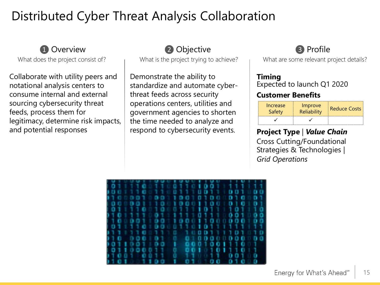# Distributed Cyber Threat Analysis Collaboration

### **1** Overview

What does the project consist of?

Collaborate with utility peers and notational analysis centers to consume internal and external sourcing cybersecurity threat feeds, process them for legitimacy, determine risk impacts, and potential responses

### ❷ Objective

What is the project trying to achieve?

Demonstrate the ability to standardize and automate cyberthreat feeds across security operations centers, utilities and government agencies to shorten the time needed to analyze and respond to cybersecurity events.

### ❸ Profile

What are some relevant project details?

#### **Timing**

Expected to launch Q1 2020

#### **Customer Benefits**

| Increase<br>Safety | Improve<br>Reliability | Reduce Costs |
|--------------------|------------------------|--------------|
|                    |                        |              |

### **Project Type** *| Value Chain*

Cross Cutting/Foundational Strategies & Technologies | *Grid Operations*

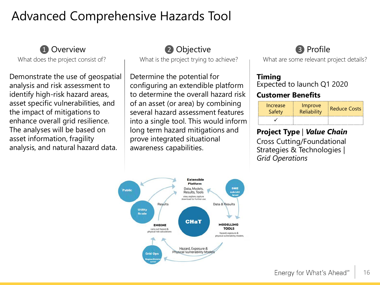# Advanced Comprehensive Hazards Tool



What does the project consist of?

Demonstrate the use of geospatial analysis and risk assessment to identify high-risk hazard areas, asset specific vulnerabilities, and the impact of mitigations to enhance overall grid resilience. The analyses will be based on asset information, fragility analysis, and natural hazard data.

# 2 Objective

What is the project trying to achieve?

Determine the potential for configuring an extendible platform to determine the overall hazard risk of an asset (or area) by combining several hazard assessment features into a single tool. This would inform long term hazard mitigations and prove integrated situational awareness capabilities.



What are some relevant project details?

#### **Timing**

Expected to launch Q1 2020

### **Customer Benefits**

| Increase<br>Safety | Improve<br>Reliability | <b>Reduce Costs</b> |
|--------------------|------------------------|---------------------|
|                    |                        |                     |

### **Project Type** | *Value Chain*

Cross Cutting/Foundational Strategies & Technologies | *Grid Operations*